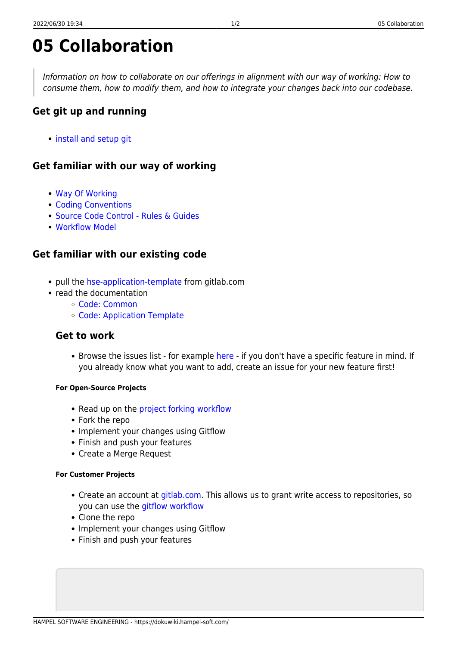# **05 Collaboration**

Information on how to collaborate on our offerings in alignment with our way of working: How to consume them, how to modify them, and how to integrate your changes back into our codebase.

# **Get git up and running**

• [install and setup git](https://dokuwiki.hampel-soft.com/processes/version-control)

## **Get familiar with our way of working**

- [Way Of Working](https://dokuwiki.hampel-soft.com/kb/bestpractices/wow)
- [Coding Conventions](https://dokuwiki.hampel-soft.com/kb/bestpractices/codingconventions)
- [Source Code Control Rules & Guides](https://dokuwiki.hampel-soft.com/kb/bestpractices/scc/rules)
- [Workflow Model](https://dokuwiki.hampel-soft.com/kb/bestpractices/scc/gitflow-workflow)

## **Get familiar with our existing code**

- pull the [hse-application-template](https://gitlab.com/hampel-soft/dqmh/hse-application-template) from gitlab.com
- read the documentation
	- [Code: Common](https://dokuwiki.hampel-soft.com/code/common)
	- [Code: Application Template](https://dokuwiki.hampel-soft.com/code/dqmh/hse-application-template)

#### **Get to work**

• Browse the issues list - for example [here](https://gitlab.com/hampel-soft/dqmh/hse-application-template/-/boards) - if you don't have a specific feature in mind. If you already know what you want to add, create an issue for your new feature first!

#### **For Open-Source Projects**

- Read up on the [project forking workflow](https://dokuwiki.hampel-soft.com/kb/bestpractices/scc/project-forking-workflow)
- Fork the repo
- Implement your changes using Gitflow
- Finish and push your features
- Create a Merge Request

#### **For Customer Projects**

- Create an account at [gitlab.com](http://gitlab.com). This allows us to grant write access to repositories, so you can use the [gitflow workflow](https://dokuwiki.hampel-soft.com/kb/bestpractices/scc/gitflow-workflow)
- Clone the repo
- Implement your changes using Gitflow
- Finish and push your features